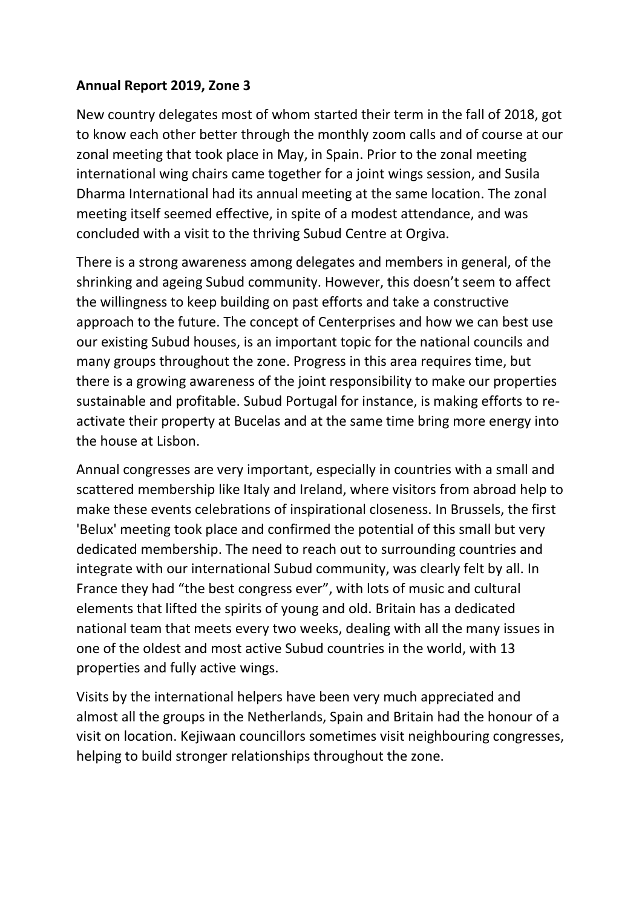## **Annual Report 2019, Zone 3**

New country delegates most of whom started their term in the fall of 2018, got to know each other better through the monthly zoom calls and of course at our zonal meeting that took place in May, in Spain. Prior to the zonal meeting international wing chairs came together for a joint wings session, and Susila Dharma International had its annual meeting at the same location. The zonal meeting itself seemed effective, in spite of a modest attendance, and was concluded with a visit to the thriving Subud Centre at Orgiva.

There is a strong awareness among delegates and members in general, of the shrinking and ageing Subud community. However, this doesn't seem to affect the willingness to keep building on past efforts and take a constructive approach to the future. The concept of Centerprises and how we can best use our existing Subud houses, is an important topic for the national councils and many groups throughout the zone. Progress in this area requires time, but there is a growing awareness of the joint responsibility to make our properties sustainable and profitable. Subud Portugal for instance, is making efforts to reactivate their property at Bucelas and at the same time bring more energy into the house at Lisbon.

Annual congresses are very important, especially in countries with a small and scattered membership like Italy and Ireland, where visitors from abroad help to make these events celebrations of inspirational closeness. In Brussels, the first 'Belux' meeting took place and confirmed the potential of this small but very dedicated membership. The need to reach out to surrounding countries and integrate with our international Subud community, was clearly felt by all. In France they had "the best congress ever", with lots of music and cultural elements that lifted the spirits of young and old. Britain has a dedicated national team that meets every two weeks, dealing with all the many issues in one of the oldest and most active Subud countries in the world, with 13 properties and fully active wings.

Visits by the international helpers have been very much appreciated and almost all the groups in the Netherlands, Spain and Britain had the honour of a visit on location. Kejiwaan councillors sometimes visit neighbouring congresses, helping to build stronger relationships throughout the zone.